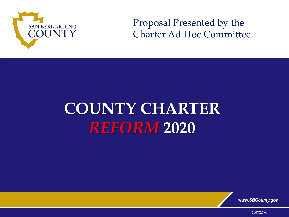

## Proposal Presented by the Charter Ad Hoc Committee

## **COUNTY CHARTER**  *REFORM* **2020**



2L07525.04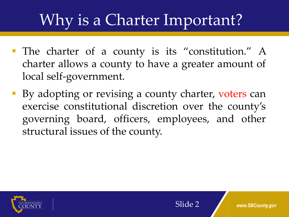## Why is a Charter Important?

- The charter of a county is its "constitution." A charter allows a county to have a greater amount of local self-government.
- By adopting or revising a county charter, voters can exercise constitutional discretion over the county's governing board, officers, employees, and other structural issues of the county.

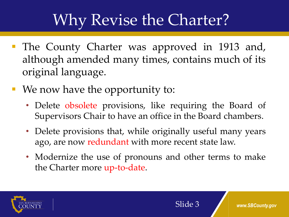- The County Charter was approved in 1913 and, although amended many times, contains much of its original language.
- We now have the opportunity to:
	- Delete obsolete provisions, like requiring the Board of Supervisors Chair to have an office in the Board chambers.
	- Delete provisions that, while originally useful many years ago, are now redundant with more recent state law.
	- Modernize the use of pronouns and other terms to make the Charter more up-to-date.

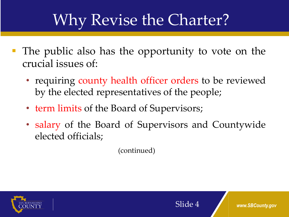- The public also has the opportunity to vote on the crucial issues of:
	- requiring county health officer orders to be reviewed by the elected representatives of the people;
	- term limits of the Board of Supervisors;
	- salary of the Board of Supervisors and Countywide elected officials;

(continued)



Slide 4 *www.SBCounty.gov*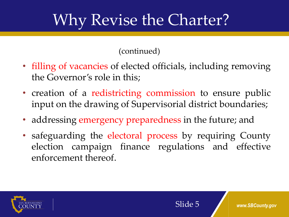(continued)

- filling of vacancies of elected officials, including removing the Governor's role in this;
- creation of a redistricting commission to ensure public input on the drawing of Supervisorial district boundaries;
- addressing emergency preparedness in the future; and
- safeguarding the electoral process by requiring County election campaign finance regulations and effective enforcement thereof.

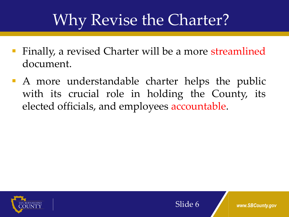- **Finally, a revised Charter will be a more streamlined** document.
- A more understandable charter helps the public with its crucial role in holding the County, its elected officials, and employees accountable.



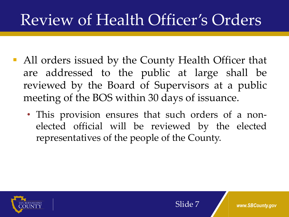## Review of Health Officer's Orders

- All orders issued by the County Health Officer that are addressed to the public at large shall be reviewed by the Board of Supervisors at a public meeting of the BOS within 30 days of issuance.
	- This provision ensures that such orders of a nonelected official will be reviewed by the elected representatives of the people of the County.

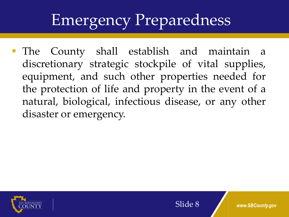## Emergency Preparedness

 The County shall establish and maintain a discretionary strategic stockpile of vital supplies, equipment, and such other properties needed for the protection of life and property in the event of a natural, biological, infectious disease, or any other disaster or emergency.

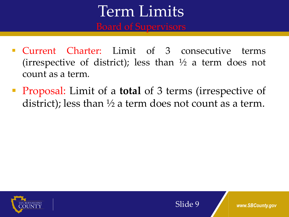# Term Limits

- Current Charter: Limit of 3 consecutive terms (irrespective of district); less than  $\frac{1}{2}$  a term does not count as a term*.*
- Proposal: Limit of a **total** of 3 terms (irrespective of district); less than  $\frac{1}{2}$  a term does not count as a term.

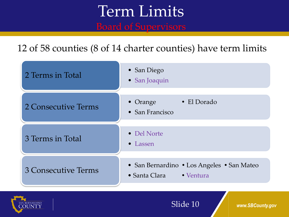# Term Limits

12 of 58 counties (8 of 14 charter counties) have term limits





Slide 10 *www.SBCounty.gov*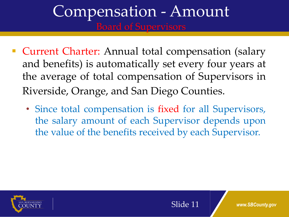# Compensation - Amount

- Current Charter: Annual total compensation (salary and benefits) is automatically set every four years at the average of total compensation of Supervisors in Riverside, Orange, and San Diego Counties.
	- Since total compensation is fixed for all Supervisors, the salary amount of each Supervisor depends upon the value of the benefits received by each Supervisor.

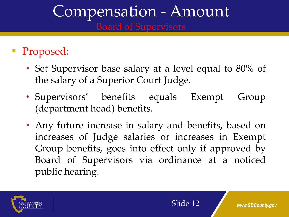# Compensation - Amount

## • Proposed:

- Set Supervisor base salary at a level equal to 80% of the salary of a Superior Court Judge.
- Supervisors' benefits equals Exempt Group (department head) benefits.
- Any future increase in salary and benefits, based on increases of Judge salaries or increases in Exempt Group benefits, goes into effect only if approved by Board of Supervisors via ordinance at a noticed public hearing.

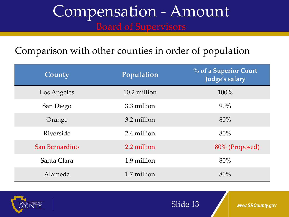# Compensation - Amount

## Comparison with other counties in order of population

| County         | Population   | % of a Superior Court<br>Judge's salary |
|----------------|--------------|-----------------------------------------|
| Los Angeles    | 10.2 million | 100%                                    |
| San Diego      | 3.3 million  | 90%                                     |
| Orange         | 3.2 million  | 80%                                     |
| Riverside      | 2.4 million  | 80%                                     |
| San Bernardino | 2.2 million  | 80% (Proposed)                          |
| Santa Clara    | 1.9 million  | 80%                                     |
| Alameda        | 1.7 million  | 80%                                     |



Slide 13 *www.SBCounty.gov*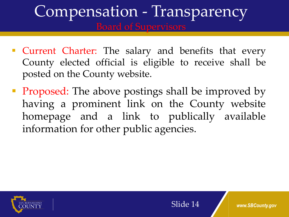# Compensation - Transparency

- **Current Charter:** The salary and benefits that every County elected official is eligible to receive shall be posted on the County website.
- **Proposed:** The above postings shall be improved by having a prominent link on the County website homepage and a link to publically available information for other public agencies.

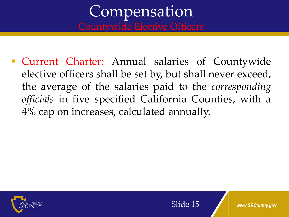# **Compensation**

 Current Charter: Annual salaries of Countywide elective officers shall be set by, but shall never exceed, the average of the salaries paid to the *corresponding officials* in five specified California Counties, with a 4% cap on increases, calculated annually.

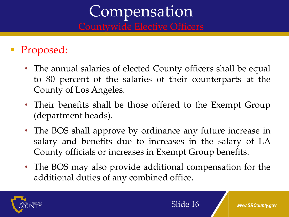# Compensation

## Proposed:

- The annual salaries of elected County officers shall be equal to 80 percent of the salaries of their counterparts at the County of Los Angeles.
- Their benefits shall be those offered to the Exempt Group (department heads).
- The BOS shall approve by ordinance any future increase in salary and benefits due to increases in the salary of LA County officials or increases in Exempt Group benefits.
- The BOS may also provide additional compensation for the additional duties of any combined office.

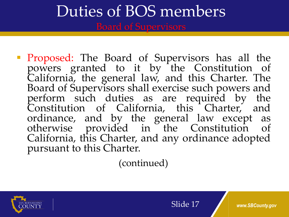**Proposed:** The Board of Supervisors has all the powers granted to it by the Constitution of California, the general law, and this Charter. The Board of Supervisors shall exercise such powers and perform such duties as are required by the Constitution of California, this Charter, and ordinance, and by the general law except as otherwise provided in the Constitution of California, this Charter, and any ordinance adopted pursuant to this Charter.

(continued)

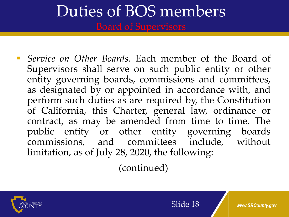*Service on Other Boards*. Each member of the Board of Supervisors shall serve on such public entity or other entity governing boards, commissions and committees, as designated by or appointed in accordance with, and perform such duties as are required by, the Constitution of California, this Charter, general law, ordinance or contract, as may be amended from time to time. The public entity or other entity governing boards commissions, and committees include, without limitation, as of July 28, 2020, the following:

(continued)

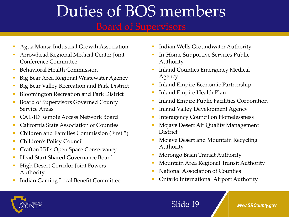- Agua Mansa Industrial Growth Association
- Arrowhead Regional Medical Center Joint Conference Committee
- Behavioral Health Commission
- **Big Bear Area Regional Wastewater Agency**
- Big Bear Valley Recreation and Park District
- Bloomington Recreation and Park District
- Board of Supervisors Governed County Service Areas
- CAL-ID Remote Access Network Board
- California State Association of Counties
- Children and Families Commission (First 5)
- Children's Policy Council
- **Crafton Hills Open Space Conservancy**
- Head Start Shared Governance Board
- High Desert Corridor Joint Powers Authority
- Indian Gaming Local Benefit Committee
- **Indian Wells Groundwater Authority**
- **In-Home Supportive Services Public** Authority
- Inland Counties Emergency Medical Agency
- Inland Empire Economic Partnership
- Inland Empire Health Plan
- **Inland Empire Public Facilities Corporation**
- Inland Valley Development Agency
- Interagency Council on Homelessness
- Mojave Desert Air Quality Management **District**
- Mojave Desert and Mountain Recycling Authority
- Morongo Basin Transit Authority
- **Mountain Area Regional Transit Authority**
- National Association of Counties
- **Ontario International Airport Authority**



### Slide 19 *www.SBCounty.gov*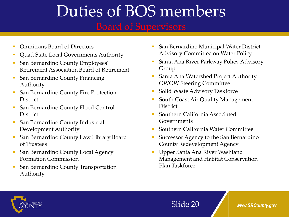- **Omnitrans Board of Directors**
- **Quad State Local Governments Authority**
- **San Bernardino County Employees'** Retirement Association Board of Retirement
- **San Bernardino County Financing** Authority
- **San Bernardino County Fire Protection District**
- **San Bernardino County Flood Control District**
- San Bernardino County Industrial Development Authority
- **San Bernardino County Law Library Board** of Trustees
- **San Bernardino County Local Agency** Formation Commission
- **San Bernardino County Transportation** Authority
- **San Bernardino Municipal Water District** Advisory Committee on Water Policy
- Santa Ana River Parkway Policy Advisory Group
- Santa Ana Watershed Project Authority OWOW Steering Committee
- **Solid Waste Advisory Taskforce**
- **South Coast Air Quality Management District**
- Southern California Associated Governments
- Southern California Water Committee
- **Successor Agency to the San Bernardino** County Redevelopment Agency
- Upper Santa Ana River Washland Management and Habitat Conservation Plan Taskforce

Slide 20 *www.SBCounty.gov*

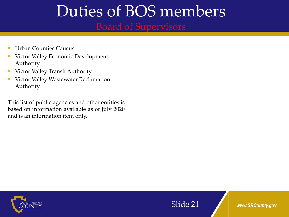## Duties of BOS members Board of Supervisors

- Urban Counties Caucus
- Victor Valley Economic Development Authority
- Victor Valley Transit Authority
- Victor Valley Wastewater Reclamation Authority

This list of public agencies and other entities is based on information available as of July 2020 and is an information item only.



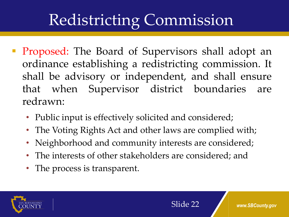## Redistricting Commission

- **Proposed:** The Board of Supervisors shall adopt an ordinance establishing a redistricting commission. It shall be advisory or independent, and shall ensure that when Supervisor district boundaries are redrawn:
	- Public input is effectively solicited and considered;
	- The Voting Rights Act and other laws are complied with;
	- Neighborhood and community interests are considered;
	- The interests of other stakeholders are considered; and
	- The process is transparent.

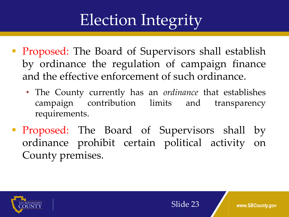## Election Integrity

- **Proposed:** The Board of Supervisors shall establish by ordinance the regulation of campaign finance and the effective enforcement of such ordinance.
	- The County currently has an *ordinance* that establishes campaign contribution limits and transparency requirements.
- **Proposed:** The Board of Supervisors shall by ordinance prohibit certain political activity on County premises.

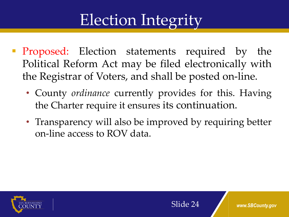## Election Integrity

- **Proposed:** Election statements required by the Political Reform Act may be filed electronically with the Registrar of Voters, and shall be posted on-line.
	- County *ordinance* currently provides for this. Having the Charter require it ensures its continuation.
	- Transparency will also be improved by requiring better on-line access to ROV data.

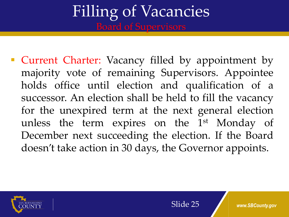**• Current Charter:** Vacancy filled by appointment by majority vote of remaining Supervisors. Appointee holds office until election and qualification of a successor. An election shall be held to fill the vacancy for the unexpired term at the next general election unless the term expires on the 1<sup>st</sup> Monday of December next succeeding the election. If the Board doesn't take action in 30 days, the Governor appoints.

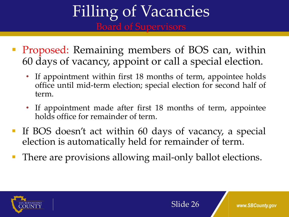- **Proposed:** Remaining members of BOS can, within 60 days of vacancy, appoint or call a special election.
	- If appointment within first 18 months of term, appointee holds office until mid-term election; special election for second half of term.
	- If appointment made after first 18 months of term, appointee holds office for remainder of term.
- If BOS doesn't act within 60 days of vacancy, a special election is automatically held for remainder of term.
- There are provisions allowing mail-only ballot elections.

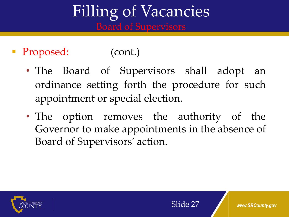## Proposed: (cont.)

- The Board of Supervisors shall adopt an ordinance setting forth the procedure for such appointment or special election.
- The option removes the authority of the Governor to make appointments in the absence of Board of Supervisors' action.

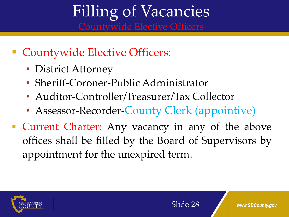- Countywide Elective Officers:
	- District Attorney
	- Sheriff-Coroner-Public Administrator
	- Auditor-Controller/Treasurer/Tax Collector
	- Assessor-Recorder-County Clerk (appointive)
- **Current Charter:** Any vacancy in any of the above offices shall be filled by the Board of Supervisors by appointment for the unexpired term.

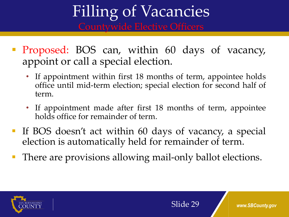- **Proposed: BOS can, within 60 days of vacancy,** appoint or call a special election.
	- If appointment within first 18 months of term, appointee holds office until mid-term election; special election for second half of term.
	- If appointment made after first 18 months of term, appointee holds office for remainder of term.
- If BOS doesn't act within 60 days of vacancy, a special election is automatically held for remainder of term.
- There are provisions allowing mail-only ballot elections.

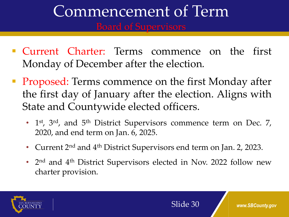# Commencement of Term

- Current Charter: Terms commence on the first Monday of December after the election*.*
- **Proposed:** Terms commence on the first Monday after the first day of January after the election. Aligns with State and Countywide elected officers.
	- 1<sup>st</sup>, 3<sup>rd</sup>, and 5<sup>th</sup> District Supervisors commence term on Dec. 7, 2020, and end term on Jan. 6, 2025.
	- Current 2<sup>nd</sup> and 4<sup>th</sup> District Supervisors end term on Jan. 2, 2023.
	- 2<sup>nd</sup> and 4<sup>th</sup> District Supervisors elected in Nov. 2022 follow new charter provision.

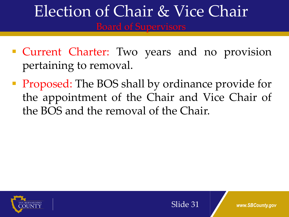# Election of Chair & Vice Chair

- **Current Charter:** Two years and no provision pertaining to removal.
- **Proposed:** The BOS shall by ordinance provide for the appointment of the Chair and Vice Chair of the BOS and the removal of the Chair.





www.SBCounty.gov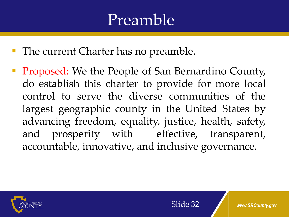## Preamble

- **The current Charter has no preamble.**
- **Proposed:** We the People of San Bernardino County, do establish this charter to provide for more local control to serve the diverse communities of the largest geographic county in the United States by advancing freedom, equality, justice, health, safety, and prosperity with effective, transparent, accountable, innovative, and inclusive governance.

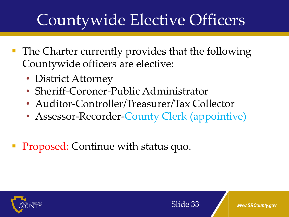## Countywide Elective Officers

- **The Charter currently provides that the following** Countywide officers are elective:
	- District Attorney
	- Sheriff-Coroner-Public Administrator
	- Auditor-Controller/Treasurer/Tax Collector
	- Assessor-Recorder-County Clerk (appointive)
- Proposed: Continue with status quo.

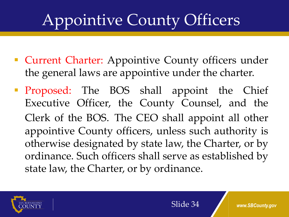## Appointive County Officers

- **Current Charter:** Appointive County officers under the general laws are appointive under the charter.
- **Proposed:** The BOS shall appoint the Chief Executive Officer, the County Counsel, and the Clerk of the BOS. The CEO shall appoint all other appointive County officers, unless such authority is otherwise designated by state law, the Charter, or by ordinance. Such officers shall serve as established by state law, the Charter, or by ordinance.

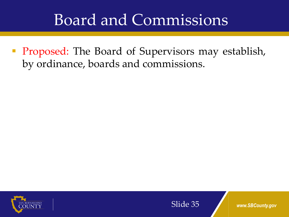## Board and Commissions

**Proposed:** The Board of Supervisors may establish, by ordinance, boards and commissions.



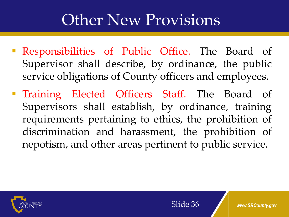## Other New Provisions

- Responsibilities of Public Office. The Board of Supervisor shall describe, by ordinance, the public service obligations of County officers and employees.
- Training Elected Officers Staff. The Board of Supervisors shall establish, by ordinance, training requirements pertaining to ethics, the prohibition of discrimination and harassment, the prohibition of nepotism, and other areas pertinent to public service.

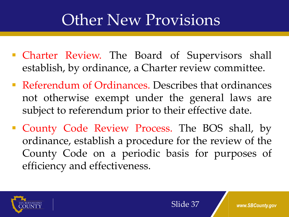## Other New Provisions

- **Charter Review.** The Board of Supervisors shall establish, by ordinance, a Charter review committee.
- Referendum of Ordinances. Describes that ordinances not otherwise exempt under the general laws are subject to referendum prior to their effective date.
- **County Code Review Process. The BOS shall, by** ordinance, establish a procedure for the review of the County Code on a periodic basis for purposes of efficiency and effectiveness.

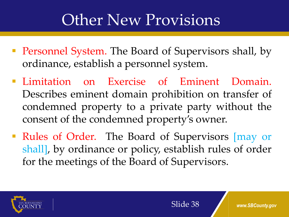## Other New Provisions

- **Personnel System.** The Board of Supervisors shall, by ordinance, establish a personnel system.
- **Exercise of Eminent Domain.** Describes eminent domain prohibition on transfer of condemned property to a private party without the consent of the condemned property's owner.
- Rules of Order. The Board of Supervisors [may or shall], by ordinance or policy, establish rules of order for the meetings of the Board of Supervisors.

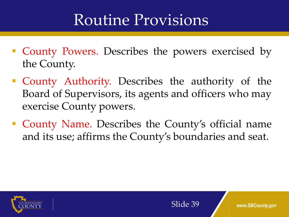## Routine Provisions

- County Powers. Describes the powers exercised by the County.
- County Authority. Describes the authority of the Board of Supervisors, its agents and officers who may exercise County powers.
- County Name. Describes the County's official name and its use; affirms the County's boundaries and seat.